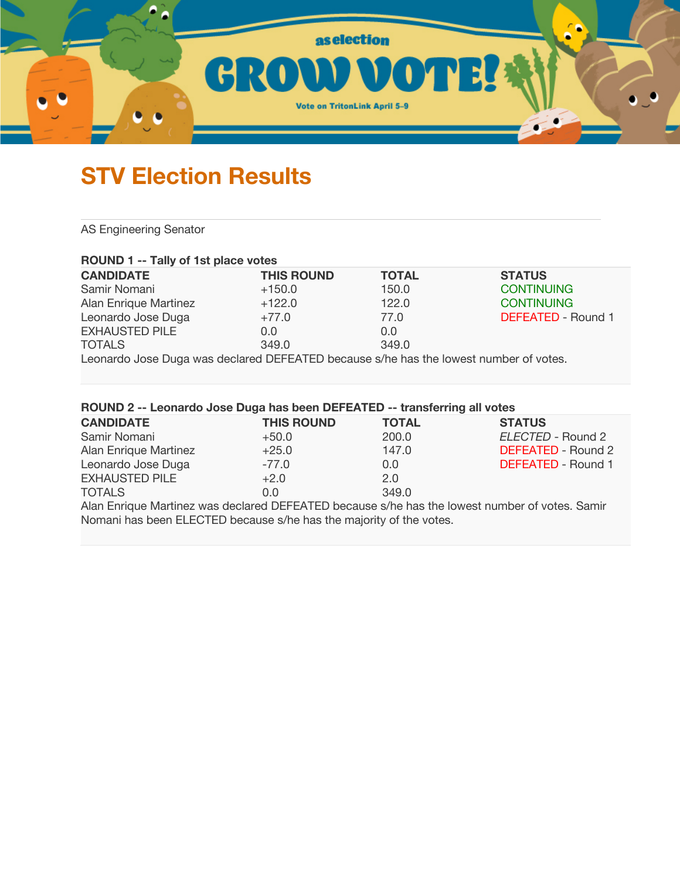

# **STV Election Results**

AS Engineering Senator

| <b>CANDIDATE</b>                                                                      | <b>THIS ROUND</b> | <b>TOTAL</b> | <b>STATUS</b>             |
|---------------------------------------------------------------------------------------|-------------------|--------------|---------------------------|
| Samir Nomani                                                                          | $+150.0$          | 150.0        | <b>CONTINUING</b>         |
| Alan Enrique Martinez                                                                 | $+122.0$          | 122.0        | <b>CONTINUING</b>         |
| Leonardo Jose Duga                                                                    | $+77.0$           | 77.0         | <b>DEFEATED - Round 1</b> |
| <b>EXHAUSTED PILE</b>                                                                 | 0.0               | 0.0          |                           |
| <b>TOTALS</b>                                                                         | 349.0             | 349.0        |                           |
| Leonardo Jose Duga was declared DEFEATED because s/he has the lowest number of votes. |                   |              |                           |

| ROUND 2 -- Leonardo Jose Duga has been DEFEATED -- transferring all votes |                   |              |               |
|---------------------------------------------------------------------------|-------------------|--------------|---------------|
| <b>CANDIDATE</b>                                                          | <b>THIS ROUND</b> | <b>TOTAL</b> | <b>STATUS</b> |

| $\sim$ $\sim$ $\sim$ $\sim$ $\sim$ $\sim$                                                      | .       | .     | ------                    |
|------------------------------------------------------------------------------------------------|---------|-------|---------------------------|
| Samir Nomani                                                                                   | $+50.0$ | 200.0 | ELECTED - Round 2         |
| Alan Enrique Martinez                                                                          | $+25.0$ | 147.0 | <b>DEFEATED - Round 2</b> |
| Leonardo Jose Duga                                                                             | $-77.0$ | 0.0   | DEFEATED - Round 1        |
| <b>EXHAUSTED PILE</b>                                                                          | $+2.0$  | 2.0   |                           |
| <b>TOTALS</b>                                                                                  | n n     | 349.0 |                           |
| Alan Enrique Martinez was declared DEFEATED because s/he has the lowest number of votes. Samir |         |       |                           |

Nomani has been ELECTED because s/he has the majority of the votes.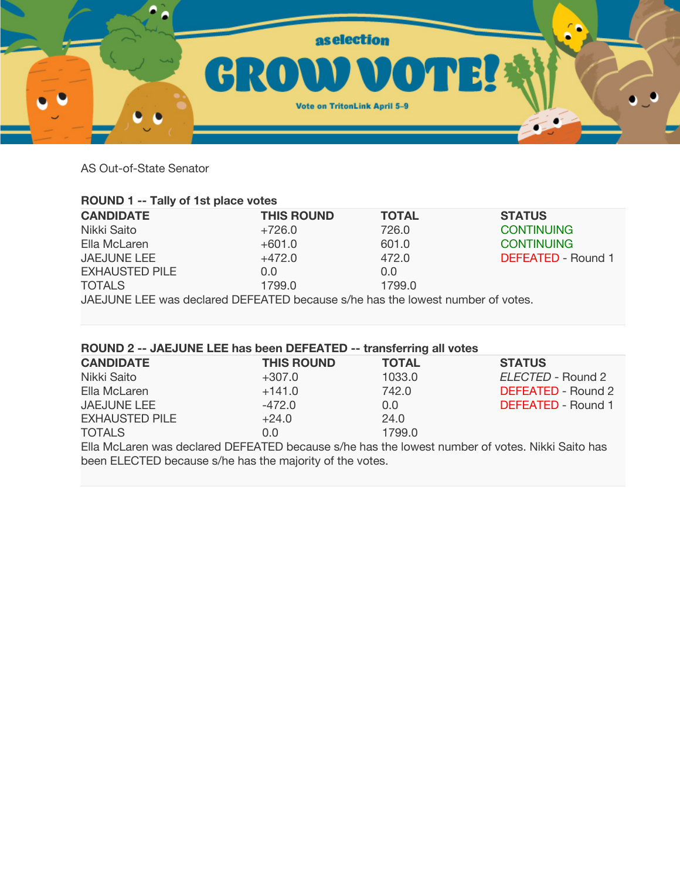

AS Out-of-State Senator

| ROUND 1 -- Tally of 1st place votes                                            |                   |              |                    |  |  |
|--------------------------------------------------------------------------------|-------------------|--------------|--------------------|--|--|
| <b>CANDIDATE</b>                                                               | <b>THIS ROUND</b> | <b>TOTAL</b> | <b>STATUS</b>      |  |  |
| Nikki Saito                                                                    | $+726.0$          | 726.0        | <b>CONTINUING</b>  |  |  |
| Ella McLaren                                                                   | $+601.0$          | 601.0        | <b>CONTINUING</b>  |  |  |
| <b>JAEJUNE LEE</b>                                                             | $+472.0$          | 472.0        | DEFEATED - Round 1 |  |  |
| <b>EXHAUSTED PILE</b>                                                          | 0.0               | 0.0          |                    |  |  |
| <b>TOTALS</b>                                                                  | 1799.0            | 1799.0       |                    |  |  |
| JAEJUNE LEE was declared DEFEATED because s/he has the lowest number of votes. |                   |              |                    |  |  |
|                                                                                |                   |              |                    |  |  |
|                                                                                |                   |              |                    |  |  |

### **ROUND 2 -- JAEJUNE LEE has been DEFEATED -- transferring all votes**

| <b>CANDIDATE</b>                                                                                | <b>THIS ROUND</b> | <b>TOTAL</b> | <b>STATUS</b>             |  |  |
|-------------------------------------------------------------------------------------------------|-------------------|--------------|---------------------------|--|--|
| Nikki Saito                                                                                     | $+307.0$          | 1033.0       | ELECTED - Round 2         |  |  |
| Ella McLaren                                                                                    | $+141.0$          | 742.0        | <b>DEFEATED - Round 2</b> |  |  |
| <b>JAEJUNE LEE</b>                                                                              | $-472.0$          | 0.0          | DEFEATED - Round 1        |  |  |
| <b>EXHAUSTED PILE</b>                                                                           | $+24.0$           | 24.0         |                           |  |  |
| <b>TOTALS</b>                                                                                   | 0.0               | 1799.0       |                           |  |  |
| Ella McLaren was declared DEFEATED because s/he has the lowest number of votes. Nikki Saito has |                   |              |                           |  |  |
| been ELECTED because s/he has the majority of the votes.                                        |                   |              |                           |  |  |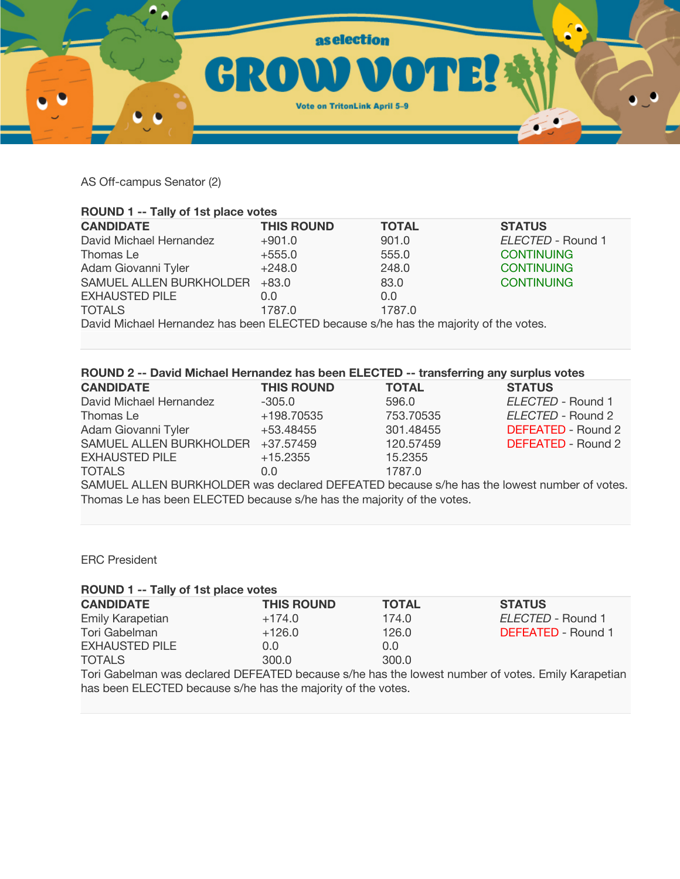

AS Off-campus Senator (2)

| ROUND 1 -- Tally of 1st place votes                                                  |                   |              |                   |  |  |
|--------------------------------------------------------------------------------------|-------------------|--------------|-------------------|--|--|
| <b>CANDIDATE</b>                                                                     | <b>THIS ROUND</b> | <b>TOTAL</b> | <b>STATUS</b>     |  |  |
| David Michael Hernandez                                                              | $+901.0$          | 901.0        | ELECTED - Round 1 |  |  |
| Thomas Le                                                                            | $+555.0$          | 555.0        | <b>CONTINUING</b> |  |  |
| Adam Giovanni Tyler                                                                  | $+248.0$          | 248.0        | <b>CONTINUING</b> |  |  |
| SAMUEL ALLEN BURKHOLDER                                                              | $+83.0$           | 83.0         | <b>CONTINUING</b> |  |  |
| <b>EXHAUSTED PILE</b>                                                                | 0.0               | 0.0          |                   |  |  |
| <b>TOTALS</b>                                                                        | 1787.0            | 1787.0       |                   |  |  |
| David Michael Hernandez has been ELECTED because s/he has the majority of the votes. |                   |              |                   |  |  |

| ROUND 2 -- David Michael Hernandez has been ELECTED -- transferring any surplus votes |              |                 |                |
|---------------------------------------------------------------------------------------|--------------|-----------------|----------------|
| <b>CANDIDATE</b>                                                                      | THIS DOILING | $T$ $T$ $A$ $I$ | <b>CTATILO</b> |

| <b>CANDIDATE</b>                                                                          | <b>THIS ROUND</b> | <b>TOTAL</b> | <b>STATUS</b>             |  |  |
|-------------------------------------------------------------------------------------------|-------------------|--------------|---------------------------|--|--|
| David Michael Hernandez                                                                   | $-305.0$          | 596.0        | ELECTED - Round 1         |  |  |
| Thomas Le                                                                                 | +198.70535        | 753.70535    | ELECTED - Round 2         |  |  |
| Adam Giovanni Tyler                                                                       | $+53.48455$       | 301.48455    | <b>DEFEATED - Round 2</b> |  |  |
| SAMUEL ALLEN BURKHOLDER                                                                   | +37.57459         | 120.57459    | <b>DEFEATED - Round 2</b> |  |  |
| <b>EXHAUSTED PILE</b>                                                                     | $+15.2355$        | 15.2355      |                           |  |  |
| <b>TOTALS</b>                                                                             | 0.0               | 1787.0       |                           |  |  |
| CAMLEL ALLEN RURKHOLDER was dockered DEEEATED because s/ho has the lowest number of votes |                   |              |                           |  |  |

SAMUEL ALLEN BURKHOLDER was declared DEFEATED because s/he has the lowest number of votes. Thomas Le has been ELECTED because s/he has the majority of the votes.

#### ERC President

| ROUND 1 -- Tally of 1st place votes |                   |              |                                                                                                   |  |
|-------------------------------------|-------------------|--------------|---------------------------------------------------------------------------------------------------|--|
| <b>CANDIDATE</b>                    | <b>THIS ROUND</b> | <b>TOTAL</b> | <b>STATUS</b>                                                                                     |  |
| <b>Emily Karapetian</b>             | $+174.0$          | 174.0        | ELECTED - Round 1                                                                                 |  |
| Tori Gabelman                       | $+126.0$          | 126.0        | DEFEATED - Round 1                                                                                |  |
| <b>EXHAUSTED PILE</b>               | 0.0               | 0.0          |                                                                                                   |  |
| <b>TOTALS</b>                       | 300.0             | 300.0        |                                                                                                   |  |
|                                     |                   |              | Tayi Cabalman waa deelayad DEEEATED beeswee alba boo the lowest number of vates. Emily Kayanation |  |

Tori Gabelman was declared DEFEATED because s/he has the lowest number of votes. Emily Karapetian has been ELECTED because s/he has the majority of the votes.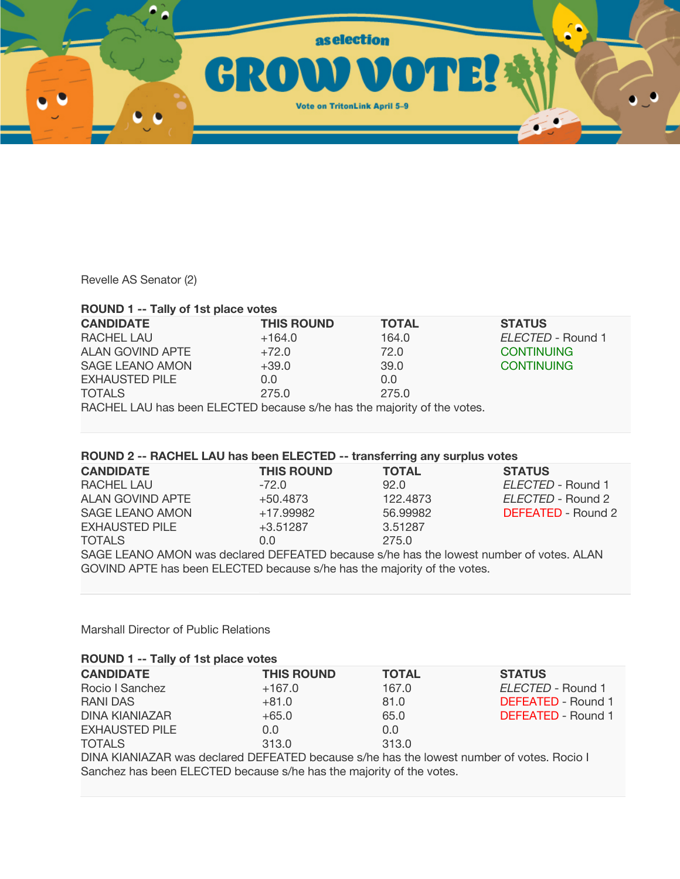

Revelle AS Senator (2)

| <b>CANDIDATE</b>                                                        | <b>THIS ROUND</b> | <b>TOTAL</b> | <b>STATUS</b>     |
|-------------------------------------------------------------------------|-------------------|--------------|-------------------|
| <b>RACHEL LAU</b>                                                       | $+164.0$          | 164.0        | ELECTED - Round 1 |
| <b>ALAN GOVIND APTE</b>                                                 | $+72.0$           | 72.0         | <b>CONTINUING</b> |
| <b>SAGE LEANO AMON</b>                                                  | $+39.0$           | 39.0         | <b>CONTINUING</b> |
| <b>EXHAUSTED PILE</b>                                                   | 0.0               | 0.0          |                   |
| <b>TOTALS</b>                                                           | 275.0             | 275.0        |                   |
| RACHEL LAU has been ELECTED because s/he has the majority of the votes. |                   |              |                   |

## **ROUND 2 -- RACHEL LAU has been ELECTED -- transferring any surplus votes**

| <b>CANDIDATE</b>                                                                                                                                                    | <b>THIS ROUND</b> | <b>TOTAL</b> | <b>STATUS</b>             |  |
|---------------------------------------------------------------------------------------------------------------------------------------------------------------------|-------------------|--------------|---------------------------|--|
| <b>RACHEL LAU</b>                                                                                                                                                   | $-72.0$           | 92.0         | ELECTED - Round 1         |  |
| ALAN GOVIND APTE                                                                                                                                                    | $+50.4873$        | 122.4873     | ELECTED - Round 2         |  |
| <b>SAGE LEANO AMON</b>                                                                                                                                              | +17.99982         | 56.99982     | <b>DEFEATED - Round 2</b> |  |
| <b>EXHAUSTED PILE</b>                                                                                                                                               | $+3.51287$        | 3.51287      |                           |  |
| <b>TOTALS</b>                                                                                                                                                       | 0.0               | 275.0        |                           |  |
| SAGE LEANO AMON was declared DEFEATED because s/he has the lowest number of votes. ALAN<br>GOVIND APTE has been ELECTED because s/he has the majority of the votes. |                   |              |                           |  |

Marshall Director of Public Relations

| ROUND 1 -- Tally of 1st place votes                                                       |                   |              |                    |  |  |
|-------------------------------------------------------------------------------------------|-------------------|--------------|--------------------|--|--|
| <b>CANDIDATE</b>                                                                          | <b>THIS ROUND</b> | <b>TOTAL</b> | <b>STATUS</b>      |  |  |
| Rocio I Sanchez                                                                           | $+167.0$          | 167.0        | ELECTED - Round 1  |  |  |
| RANI DAS                                                                                  | $+81.0$           | 81.0         | DEFEATED - Round 1 |  |  |
| DINA KIANIAZAR                                                                            | $+65.0$           | 65.0         | DEFEATED - Round 1 |  |  |
| <b>EXHAUSTED PILE</b>                                                                     | 0.0               | 0.0          |                    |  |  |
| <b>TOTALS</b>                                                                             | 313.0             | 313.0        |                    |  |  |
| DINA KIANIAZAR was declared DEFEATED because s/he has the lowest number of votes. Rocio I |                   |              |                    |  |  |
| Sanchez has been ELECTED because s/he has the majority of the votes.                      |                   |              |                    |  |  |